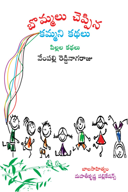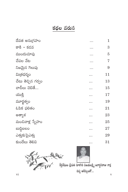## కథల వరుస

| దేవత అనుగ్రహం      | $\mathbf{1}$   |
|--------------------|----------------|
| కాకి – కడవ         | 3              |
| ముందుచూపు          | 5              |
| చేపల వేట           | $\overline{7}$ |
| నిజమైన గెలుపు      | 9              |
| మిత్రధర్మం         | 11             |
| చేటు తెచ్చిన గర్వం | 13             |
| చాడీలు చెబితే      | 15             |
| యుక్తి             | 17             |
| మూర్ఖత్వం          | 19             |
| ఓపిక ఫలితం         | 21             |
| అత్యాశ             | 23             |
| మంచివాళ్ల స్నేహం   | 25             |
| ဃာဝ္ကိုဃေပ         | 27             |
| ఎత్తుకుపైఎత్తు     | 29             |
| కుందేలు తెలివి     | 31             |
|                    |                |

**A Strategy Strategy**<br>**A System Strategy** Strategy and the company of the System of the System of the System of the System of the System of the System of the System of the System of the System of the System of the System o దివ్య ఆశీస్సులతో...

 $\overline{\mathbf{V}}$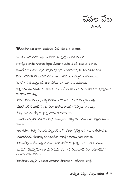

 $\mathfrak{S}$ నగనగా ఒక రాజు. ఆయనకు ఏడు మంది కొడుకులు.

గురుకులంలో చదివేవాళ్లంతా వేసవి శెలవుల్తో ఇంటికి వచ్చారు. కాలాక్షేపం కోసం గాలాలు సిద్ధం చేసుకొని చేపల వేటకి బయలు దేరారు. అయితే నది ఒడ్డుకు వెళ్లిన వాళ్లకి పూర్తిగా ఎండిపోయివున్న నది కనిపించింది. చేపలు దొరకలేదనే బాధతో దిగులుగా ఇంటిముఖం పట్టారు రాకుమారులు. నిరాశగా వెకుతున్నవాళ్లకి దారినపోయే దానయ్య ఎదురుపద్దాడు. వాళ్ల దిగులను గమనించి "రాకుమారులూ మీరంతా ఎందుకంత నిరాశగా వున్నారు?" అడిగాడు దానయ్య. "చేపల కోసం వచ్చాం, ఒక్క చేపకూడా దొరకలేదు" బదులిచ్చారు వాళ్లు. "నదిలో నీళ్లే లేకుంటే చేపలు ఎలా దొరుకుతాయి?" చెప్పాడు దానయ్య. "నీళ్లు ఎందుకు లేవు?" <sub>(</sub>పశ్నించారు రాకుమారులు. "ఆకాశం వర్వించక పోవడం వల్ల" సమాధానం చెప్పి తనదారిన తాను వెళ్లిపోయాడు దానయ్య. "ఆకాశమా, నువ్వు ఎందుకు వర్షించలేదు?" తలలు పైకెత్తి అడిగారు రాకుమారులు. "వరుణదేవుడు మేఘాల్ని కరిగించలేదు కాబట్టి" బదులిచ్చింది ఆకాశం. "వరుణదేవుడా మేఘాల్ని ఎందుకు కరిగించలేదు?" (ప్రశ్నించారు రాకుమారులు. "భూమిపై చెట్లన్నీ మోళ్లుగా మారి ఏమాత్రం గాలి వీయకుంటే ఎలా కరిగించేది?" అన్నాడు వరుణదేవుడు.

"భూమాతా, చెట్లన్నీ ఎందుకు మోట్లగా మారాయి?" అడిగారు వాట్ల.

బొమ్మలు చెప్పిన కమ్మని కథలు  $\ast$  7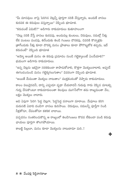"మీ మానవులు నాపై పెరిగిన చెట్లన్నీ పూర్తిగా నరికి వేస్తున్నారు, అందుకే వానలు కురవక ఈ కరువులు వస్తున్నాయి" చెప్పింది భూమాత.

"కరువంటే ఏమిటి?" అడిగారు రాకుమారులు కుతూహలంగా

"చెట్లు నరికి వేస్తే వానలు కురవవు, అందువల్ల కుంటలు, చెరువులు, నదుల్లో నీళ్లు లేక పంటలు పండవు, తినేందుకు తిండి గింజలు దొరకవు, చివరికి కొన్నాళ్లకు త్రాగేందుకు నీళ్లు కూడా దొరక్క మనం (పాణాలు కూడా పోగొట్టుకోక తప్పదు, ఇదే కరువంటే" చెప్పింది భూమాత

"అమ్మో అయితే మనం ఈ కరువు (పమాదం నుండి గట్టెక్కాలంటే ఏంచేయాలి?" భయంగా అడిగారు రాకుమారులు.

"ఉన్న చెట్లను ఇకనైనా నరకకుండా కాపాడుకోవాలి, కొత్తగా మొక్కలునాటాలి, అప్పండే ఈగండంనుండి మనం గట్టెక్కగలుగుతాం" వివరంగా చెప్పింది భూమాత.

"అయితే మేమంతా మొక్కలు నాటుతాం" ముక్తకంఠంతో చెప్పారు రాకుమారులు.

కాలం విలువైనదనీ, దాన్ని ఎప్పుడూ వృధా చేయరాదనీ గురువు గారు చెప్పిన మాటల్ని గురు చేసుకొంటూ రాకుమారులంతా శెలవులు ముగిసేలోగా తమ రాజ్యమంతా వేల, లక్షల మొక్కలు నాటారు.

అవి ఏపుగా పెరిగి పెద్ద చెట్లగా, పెద్దపెద్ద వనాలుగా మారాయి. మేఘాలు కరిగి మరుసటి ఏదాది దండిగా వానలు కురిసాయి. చెరువులు, నదులన్నీ పూర్తీగా నిండి నీళ్లతోనూ, చేపలతోనూ కళకళ లాదాయి.

పచ్చదనం సంతరించుకొన్న ఆ రాజ్యంలో తిండిగింజలు కొదవ లేకుండా పండి కరువు ఛాయలు పూర్తిగా తొలగిపోయాయి.

కాబట్టి పిల్లలూ, మనం కూడా మొక్కలను నాటుదామా మరి..!

8 % వేంపల్లి రెడ్డినాగరాజు